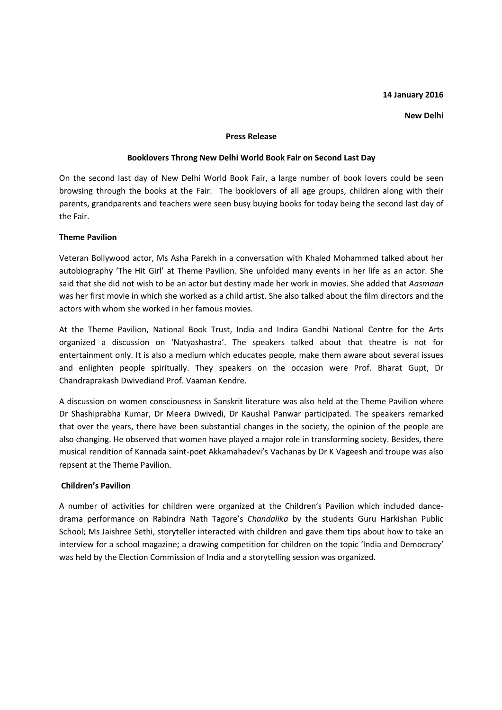### **14 January 2016**

#### **New Delhi**

#### **Press Release**

# **Booklovers Throng New Delhi World Book Fair on Second Last Day**

On the second last day of New Delhi World Book Fair, a large number of book lovers could be seen browsing through the books at the Fair. The booklovers of all age groups, children along with their parents, grandparents and teachers were seen busy buying books for today being the second last day of the Fair.

# **Theme Pavilion**

Veteran Bollywood actor, Ms Asha Parekh in a conversation with Khaled Mohammed talked about her autobiography 'The Hit Girl' at Theme Pavilion. She unfolded many events in her life as an actor. She said that she did not wish to be an actor but destiny made her work in movies. She added that *Aasmaan* was her first movie in which she worked as a child artist. She also talked about the film directors and the actors with whom she worked in her famous movies.

At the Theme Pavilion, National Book Trust, India and Indira Gandhi National Centre for the Arts organized a discussion on 'Natyashastra'. The speakers talked about that theatre is not for entertainment only. It is also a medium which educates people, make them aware about several issues and enlighten people spiritually. They speakers on the occasion were Prof. Bharat Gupt, Dr Chandraprakash Dwivediand Prof. Vaaman Kendre.

A discussion on women consciousness in Sanskrit literature was also held at the Theme Pavilion where Dr Shashiprabha Kumar, Dr Meera Dwivedi, Dr Kaushal Panwar participated. The speakers remarked that over the years, there have been substantial changes in the society, the opinion of the people are also changing. He observed that women have played a major role in transforming society. Besides, there musical rendition of Kannada saint-poet Akkamahadevi's Vachanas by Dr K Vageesh and troupe was also repsent at the Theme Pavilion.

# **Children's Pavilion**

A number of activities for children were organized at the Children's Pavilion which included dancedrama performance on Rabindra Nath Tagore's *Chandalika* by the students Guru Harkishan Public School; Ms Jaishree Sethi, storyteller interacted with children and gave them tips about how to take an interview for a school magazine; a drawing competition for children on the topic 'India and Democracy' was held by the Election Commission of India and a storytelling session was organized.